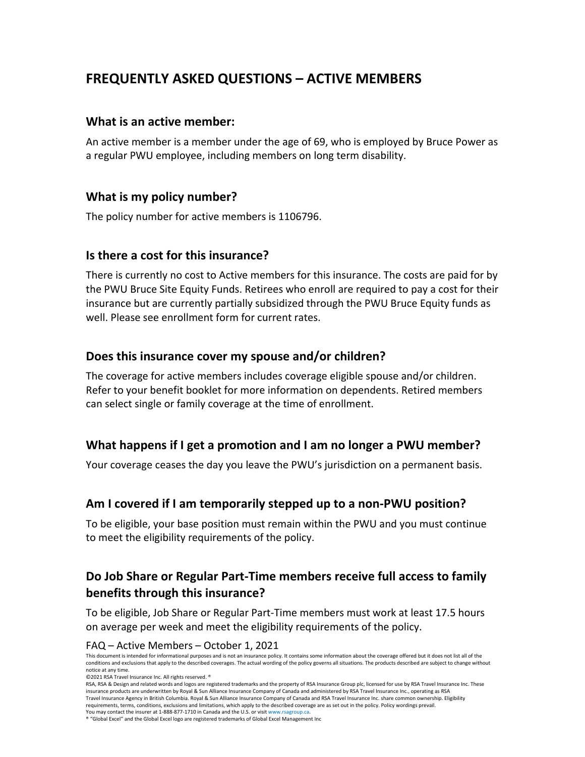# **FREQUENTLY ASKED QUESTIONS – ACTIVE MEMBERS**

## **What is an active member:**

An active member is a member under the age of 69, who is employed by Bruce Power as a regular PWU employee, including members on long term disability.

## **What is my policy number?**

The policy number for active members is 1106796.

## **Is there a cost for this insurance?**

There is currently no cost to Active members for this insurance. The costs are paid for by the PWU Bruce Site Equity Funds. Retirees who enroll are required to pay a cost for their insurance but are currently partially subsidized through the PWU Bruce Equity funds as well. Please see enrollment form for current rates.

### **Does this insurance cover my spouse and/or children?**

The coverage for active members includes coverage eligible spouse and/or children. Refer to your benefit booklet for more information on dependents. Retired members can select single or family coverage at the time of enrollment.

## **What happens if I get a promotion and I am no longer a PWU member?**

Your coverage ceases the day you leave the PWU's jurisdiction on a permanent basis.

### **Am I covered if I am temporarily stepped up to a non-PWU position?**

To be eligible, your base position must remain within the PWU and you must continue to meet the eligibility requirements of the policy.

## **Do Job Share or Regular Part-Time members receive full access to family benefits through this insurance?**

To be eligible, Job Share or Regular Part-Time members must work at least 17.5 hours on average per week and meet the eligibility requirements of the policy.

#### FAQ – Active Members – October 1, 2021

This document is intended for informational purposes and is not an insurance policy. It contains some information about the coverage offered but it does not list all of the conditions and exclusions that apply to the described coverages. The actual wording of the policy governs all situations. The products described are subject to change without notice at any time.

©2021 RSA Travel Insurance Inc. All rights reserved. ®

RSA, RSA & Design and related words and logos are registered trademarks and the property of RSA Insurance Group plc, licensed for use by RSA Travel Insurance Inc. These insurance products are underwritten by Royal & Sun Alliance Insurance Company of Canada and administered by RSA Travel Insurance Inc., operating as RSA Travel Insurance Agency in British Columbia. Royal & Sun Alliance Insurance Company of Canada and RSA Travel Insurance Inc. share common ownership. Eligibility requirements, terms, conditions, exclusions and limitations, which apply to the described coverage are as set out in the policy. Policy wordings prevail. You may contact the insurer at 1-888-877-1710 in Canada and the U.S. or visi[t www.rsagroup.ca.](http://www.rsagroup.ca/)

® "Global Excel" and the Global Excel logo are registered trademarks of Global Excel Management Inc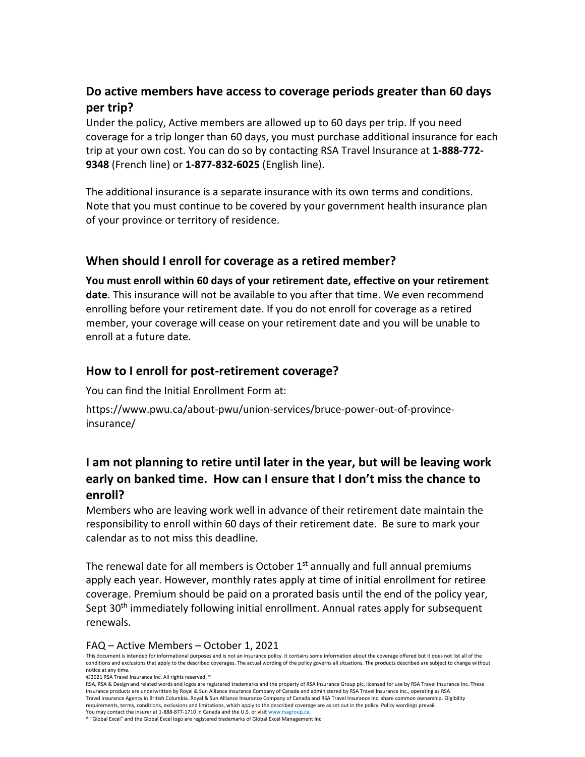## **Do active members have access to coverage periods greater than 60 days per trip?**

Under the policy, Active members are allowed up to 60 days per trip. If you need coverage for a trip longer than 60 days, you must purchase additional insurance for each trip at your own cost. You can do so by contacting RSA Travel Insurance at **1-888-772- 9348** (French line) or **1-877-832-6025** (English line).

The additional insurance is a separate insurance with its own terms and conditions. Note that you must continue to be covered by your government health insurance plan of your province or territory of residence.

## **When should I enroll for coverage as a retired member?**

**You must enroll within 60 days of your retirement date, effective on your retirement date**. This insurance will not be available to you after that time. We even recommend enrolling before your retirement date. If you do not enroll for coverage as a retired member, your coverage will cease on your retirement date and you will be unable to enroll at a future date.

## **How to I enroll for post-retirement coverage?**

You can find the Initial Enrollment Form at:

https://www.pwu.ca/about-pwu/union-services/bruce-power-out-of-provinceinsurance/

## **I am not planning to retire until later in the year, but will be leaving work early on banked time. How can I ensure that I don't miss the chance to enroll?**

Members who are leaving work well in advance of their retirement date maintain the responsibility to enroll within 60 days of their retirement date. Be sure to mark your calendar as to not miss this deadline.

The renewal date for all members is October  $1<sup>st</sup>$  annually and full annual premiums apply each year. However, monthly rates apply at time of initial enrollment for retiree coverage. Premium should be paid on a prorated basis until the end of the policy year, Sept 30<sup>th</sup> immediately following initial enrollment. Annual rates apply for subsequent renewals.

#### FAQ – Active Members – October 1, 2021

This document is intended for informational purposes and is not an insurance policy. It contains some information about the coverage offered but it does not list all of the conditions and exclusions that apply to the described coverages. The actual wording of the policy governs all situations. The products described are subject to change without notice at any time.

©2021 RSA Travel Insurance Inc. All rights reserved. ®

RSA, RSA & Design and related words and logos are registered trademarks and the property of RSA Insurance Group plc, licensed for use by RSA Travel Insurance Inc. These insurance products are underwritten by Royal & Sun Alliance Insurance Company of Canada and administered by RSA Travel Insurance Inc., operating as RSA Travel Insurance Agency in British Columbia. Royal & Sun Alliance Insurance Company of Canada and RSA Travel Insurance Inc. share common ownership. Eligibility requirements, terms, conditions, exclusions and limitations, which apply to the described coverage are as set out in the policy. Policy wordings prevail. You may contact the insurer at 1-888-877-1710 in Canada and the U.S. or visi[t www.rsagroup.ca.](http://www.rsagroup.ca/)

® "Global Excel" and the Global Excel logo are registered trademarks of Global Excel Management Inc